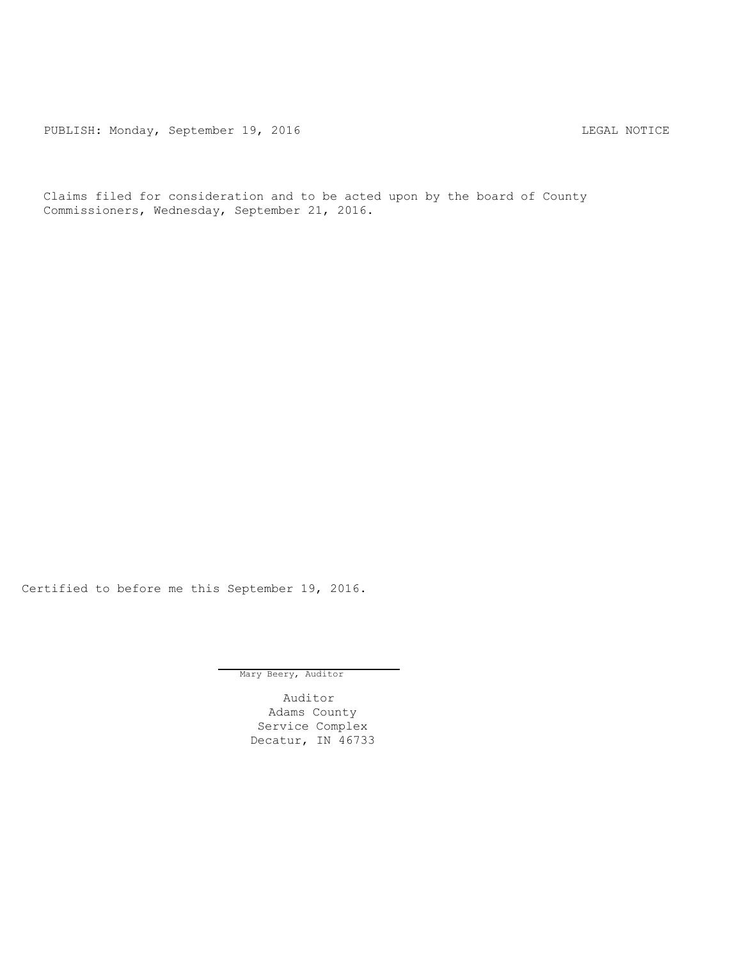PUBLISH: Monday, September 19, 2016 CHA CHANGE CONSTRUCTED AND THE LEGAL NOTICE

Claims filed for consideration and to be acted upon by the board of County Commissioners, Wednesday, September 21, 2016.

Certified to before me this September 19, 2016.

Mary Beery, Auditor

Auditor Adams County Service Complex Decatur, IN 46733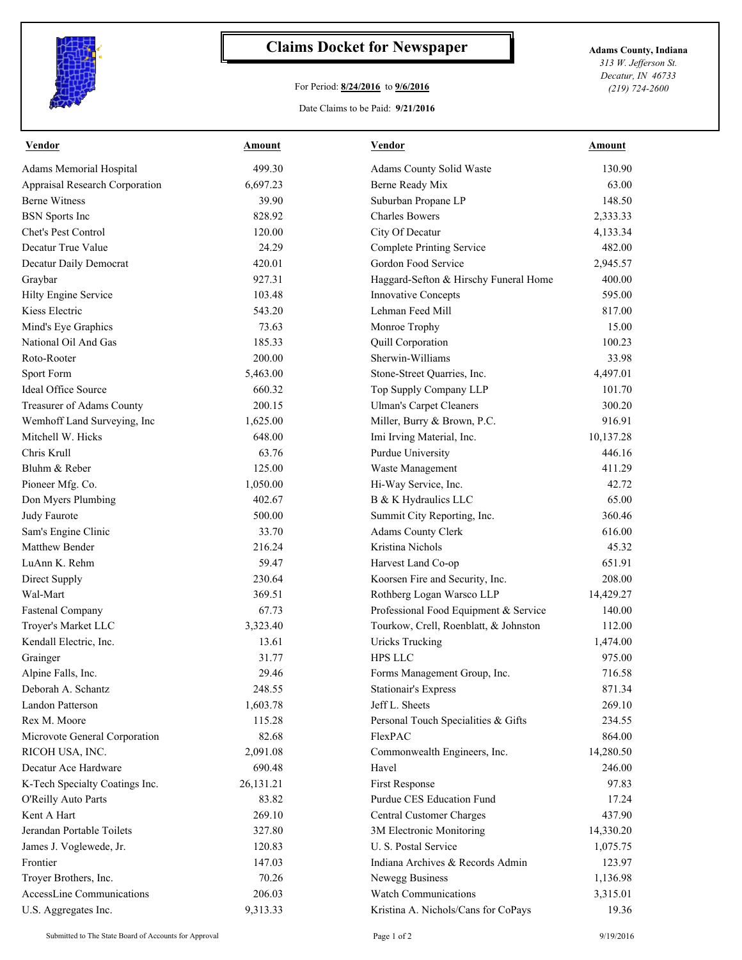

## **Claims Docket for Newspaper Adams County, Indiana**

## For Period: **8/24/2016** to **9/6/2016**

*313 W. Jefferson St. Decatur, IN 46733 (219) 724-2600*

## Date Claims to be Paid: **9/21/2016**

| <b>Vendor</b>                  | Amount    | <b>Vendor</b>                         | Amount    |
|--------------------------------|-----------|---------------------------------------|-----------|
| Adams Memorial Hospital        | 499.30    | Adams County Solid Waste              | 130.90    |
| Appraisal Research Corporation | 6,697.23  | Berne Ready Mix                       | 63.00     |
| <b>Berne Witness</b>           | 39.90     | Suburban Propane LP                   | 148.50    |
| <b>BSN</b> Sports Inc          | 828.92    | <b>Charles Bowers</b>                 | 2,333.33  |
| Chet's Pest Control            | 120.00    | City Of Decatur                       | 4,133.34  |
| Decatur True Value             | 24.29     | <b>Complete Printing Service</b>      | 482.00    |
| Decatur Daily Democrat         | 420.01    | Gordon Food Service                   | 2,945.57  |
| Graybar                        | 927.31    | Haggard-Sefton & Hirschy Funeral Home | 400.00    |
| Hilty Engine Service           | 103.48    | Innovative Concepts                   | 595.00    |
| Kiess Electric                 | 543.20    | Lehman Feed Mill                      | 817.00    |
| Mind's Eye Graphics            | 73.63     | Monroe Trophy                         | 15.00     |
| National Oil And Gas           | 185.33    | Quill Corporation                     | 100.23    |
| Roto-Rooter                    | 200.00    | Sherwin-Williams                      | 33.98     |
| Sport Form                     | 5,463.00  | Stone-Street Quarries, Inc.           | 4,497.01  |
| Ideal Office Source            | 660.32    | Top Supply Company LLP                | 101.70    |
| Treasurer of Adams County      | 200.15    | <b>Ulman's Carpet Cleaners</b>        | 300.20    |
| Wemhoff Land Surveying, Inc    | 1,625.00  | Miller, Burry & Brown, P.C.           | 916.91    |
| Mitchell W. Hicks              | 648.00    | Imi Irving Material, Inc.             | 10,137.28 |
| Chris Krull                    | 63.76     | Purdue University                     | 446.16    |
| Bluhm & Reber                  | 125.00    | Waste Management                      | 411.29    |
| Pioneer Mfg. Co.               | 1,050.00  | Hi-Way Service, Inc.                  | 42.72     |
| Don Myers Plumbing             | 402.67    | B & K Hydraulics LLC                  | 65.00     |
| Judy Faurote                   | 500.00    | Summit City Reporting, Inc.           | 360.46    |
| Sam's Engine Clinic            | 33.70     | Adams County Clerk                    | 616.00    |
| Matthew Bender                 | 216.24    | Kristina Nichols                      | 45.32     |
| LuAnn K. Rehm                  | 59.47     | Harvest Land Co-op                    | 651.91    |
| Direct Supply                  | 230.64    | Koorsen Fire and Security, Inc.       | 208.00    |
| Wal-Mart                       | 369.51    | Rothberg Logan Warsco LLP             | 14,429.27 |
| <b>Fastenal Company</b>        | 67.73     | Professional Food Equipment & Service | 140.00    |
| Troyer's Market LLC            | 3,323.40  | Tourkow, Crell, Roenblatt, & Johnston | 112.00    |
| Kendall Electric, Inc.         | 13.61     | <b>Uricks Trucking</b>                | 1,474.00  |
| Grainger                       | 31.77     | <b>HPS LLC</b>                        | 975.00    |
| Alpine Falls, Inc.             | 29.46     | Forms Management Group, Inc.          | 716.58    |
| Deborah A. Schantz             | 248.55    | <b>Stationair's Express</b>           | 871.34    |
| Landon Patterson               | 1,603.78  | Jeff L. Sheets                        | 269.10    |
| Rex M. Moore                   | 115.28    | Personal Touch Specialities & Gifts   | 234.55    |
| Microvote General Corporation  | 82.68     | FlexPAC                               | 864.00    |
| RICOH USA, INC.                | 2,091.08  | Commonwealth Engineers, Inc.          | 14,280.50 |
| Decatur Ace Hardware           | 690.48    | Havel                                 | 246.00    |
| K-Tech Specialty Coatings Inc. | 26,131.21 | First Response                        | 97.83     |
| O'Reilly Auto Parts            | 83.82     | Purdue CES Education Fund             | 17.24     |
| Kent A Hart                    | 269.10    | Central Customer Charges              | 437.90    |
| Jerandan Portable Toilets      | 327.80    | 3M Electronic Monitoring              | 14,330.20 |
| James J. Voglewede, Jr.        | 120.83    | U. S. Postal Service                  | 1,075.75  |
| Frontier                       | 147.03    | Indiana Archives & Records Admin      | 123.97    |
| Troyer Brothers, Inc.          | 70.26     | Newegg Business                       | 1,136.98  |
| AccessLine Communications      | 206.03    | <b>Watch Communications</b>           | 3,315.01  |
|                                |           | Kristina A. Nichols/Cans for CoPays   |           |
| U.S. Aggregates Inc.           | 9,313.33  |                                       | 19.36     |